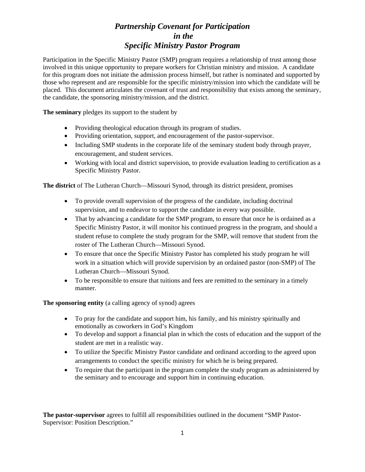## *Partnership Covenant for Participation in the Specific Ministry Pastor Program*

Participation in the Specific Ministry Pastor (SMP) program requires a relationship of trust among those involved in this unique opportunity to prepare workers for Christian ministry and mission. A candidate for this program does not initiate the admission process himself, but rather is nominated and supported by those who represent and are responsible for the specific ministry/mission into which the candidate will be placed. This document articulates the covenant of trust and responsibility that exists among the seminary, the candidate, the sponsoring ministry/mission, and the district.

**The seminary** pledges its support to the student by

- Providing theological education through its program of studies.
- Providing orientation, support, and encouragement of the pastor-supervisor.
- Including SMP students in the corporate life of the seminary student body through prayer. encouragement, and student services.
- Working with local and district supervision, to provide evaluation leading to certification as a Specific Ministry Pastor.

**The district** of The Lutheran Church—Missouri Synod, through its district president, promises

- To provide overall supervision of the progress of the candidate, including doctrinal supervision, and to endeavor to support the candidate in every way possible.
- That by advancing a candidate for the SMP program, to ensure that once he is ordained as a Specific Ministry Pastor, it will monitor his continued progress in the program, and should a student refuse to complete the study program for the SMP, will remove that student from the roster of The Lutheran Church—Missouri Synod.
- To ensure that once the Specific Ministry Pastor has completed his study program he will work in a situation which will provide supervision by an ordained pastor (non-SMP) of The Lutheran Church—Missouri Synod.
- To be responsible to ensure that tuitions and fees are remitted to the seminary in a timely manner.

**The sponsoring entity** (a calling agency of synod) agrees

- To pray for the candidate and support him, his family, and his ministry spiritually and emotionally as coworkers in God's Kingdom
- To develop and support a financial plan in which the costs of education and the support of the student are met in a realistic way.
- To utilize the Specific Ministry Pastor candidate and ordinand according to the agreed upon arrangements to conduct the specific ministry for which he is being prepared.
- To require that the participant in the program complete the study program as administered by the seminary and to encourage and support him in continuing education.

**The pastor-supervisor** agrees to fulfill all responsibilities outlined in the document "SMP Pastor-Supervisor: Position Description."